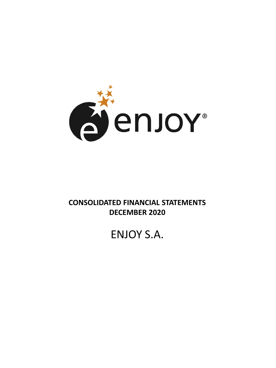

## **CONSOLIDATED FINANCIAL STATEMENTS DECEMBER 2020**

# ENJOY S.A.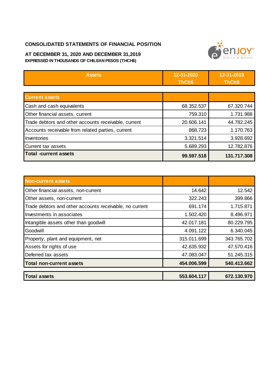#### **CONSOLIDATED STATEMENTS OF FINANCIAL POSITION**



#### **AT DECEMBER 31, 2020 AND DECEMBER 31,2019 EXPRESSED IN THOUSANDS OF CHILEAN PESOS (THCH\$)**

| <b>Assets</b>                                        | 12-31-2020<br>ThCh\$ | 12-31-2019<br>ThCh\$ |
|------------------------------------------------------|----------------------|----------------------|
|                                                      |                      |                      |
| <b>Current assets</b>                                |                      |                      |
| Cash and cash equivalents                            | 68.352.537           | 67.320.744           |
| Other financial assets, current                      | 759.310              | 1.731.988            |
| Trade debtors and other accounts receivable, current | 20.606.141           | 44.782.245           |
| Accounts receivable from related parties, current    | 868.723              | 1.170.763            |
| Inventories                                          | 3.321.514            | 3.928.692            |
| Current tax assets                                   | 5.689.293            | 12.782.876           |
| <b>Total -current assets</b>                         | 99.597.518           | 131.717.308          |

| <b>Non-current assets</b>                               |             |             |
|---------------------------------------------------------|-------------|-------------|
| Other financial assets, non-current                     | 14.642      | 12.542      |
| Other assets, non-current                               | 322.243     | 399.866     |
| Trade debtors and other accounts receivable, no current | 691.174     | 1.715.871   |
| Investments in associates                               | 1.502.420   | 8.496.971   |
| Intangible assets other than goodwill                   | 42.017.181  | 80.229.795  |
| Goodwill                                                | 4.091.122   | 6.340.045   |
| Property, plant and equipment, net                      | 315.011.699 | 343.765.702 |
| Assets for rights of use                                | 42.635.932  | 47.570.416  |
| Deferred tax assets                                     | 47.083.047  | 51.245.315  |
| <b>Total non-current assets</b>                         | 454.006.599 | 540.413.662 |
| <b>Total assets</b>                                     | 553.604.117 | 672.130.970 |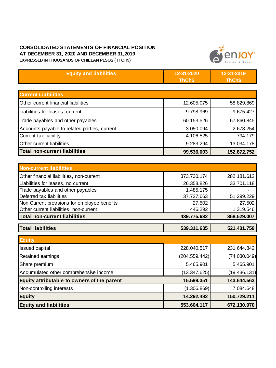#### **CONSOLIDATED STATEMENTS OF FINANCIAL POSITION AT DECEMBER 31, 2020 AND DECEMBER 31,2019 EXPRESSED IN THOUSANDS OF CHILEAN PESOS (THCH\$)**



| <b>Equity and liabilities</b>                | 12-31-2020    | 12-31-2019   |
|----------------------------------------------|---------------|--------------|
|                                              | ThCh\$        | ThCh\$       |
|                                              |               |              |
| <b>Current Liabilities</b>                   |               |              |
| Other current financial liabilities          | 12.605.075    | 58.829.869   |
| Liabilities for leases, current              | 9.798.969     | 9.675.427    |
| Trade payables and other payables            | 60.153.526    | 67.860.845   |
| Accounts payable to related parties, current | 3.050.094     | 2.678.254    |
| Current tax liability                        | 4.106.525     | 794.179      |
| Other current liabilities                    | 9.283.294     | 13.034.178   |
| <b>Total non-current liabilities</b>         | 99.536.003    | 152.872.752  |
|                                              |               |              |
| <b>Non-current liabilities</b>               |               |              |
| Other financial liabilities, non-current     | 373.730.174   | 282.181.612  |
| Liabilities for leases, no current           | 26.358.826    | 33.701.118   |
| Trade payables and other payables            | 1.485.175     |              |
| Deferred tax liabilities                     | 37.727.663    | 51.299.229   |
| Non Current provisions for employee benefits | 27.502        | 27.502       |
| Other current liabilities, non-current       | 446.292       | 1.319.546    |
| <b>Total non-current liabilities</b>         | 439.775.632   | 368.529.007  |
| <b>Total liabilities</b>                     | 539.311.635   | 521.401.759  |
| <b>Equity</b>                                |               |              |
| <b>Issued capital</b>                        | 228.040.517   | 231.644.842  |
| Retained earnings                            | (204.559.442) | (74.030.049) |
| Share premium                                | 5.465.901     | 5.465.901    |
| Accumulated other comprehensive income       | (13.347.625)  | (19.436.131) |
| Equity attributable to owners of the parent  | 15.599.351    | 143.644.563  |
| Non-controlling interests                    | (1.306.869)   | 7.084.648    |
| <b>Equity</b>                                | 14.292.482    | 150.729.211  |
| <b>Equity and liabilities</b>                | 553.604.117   | 672.130.970  |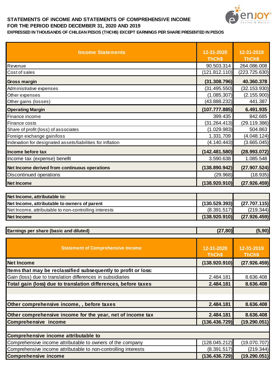

### **STATEMENTS OF INCOME AND STATEMENTS OF COMPREHENSIVE INCOME FOR THE PERIOD ENDED DECEMBER 31, 2020 AND 2019**

| EXPRESSED IN THOUSANDS OF CHILEAN PESOS (THCH\$) EXCEPT EARNINGS PER SHARE PRESENTED IN PESOS |  |  |
|-----------------------------------------------------------------------------------------------|--|--|
|                                                                                               |  |  |

| <b>Income Statements</b>                                   | 12-31-2020<br>ThCh\$ | 12-31-2019<br>ThCh\$ |
|------------------------------------------------------------|----------------------|----------------------|
| Revenue                                                    | 90.503.314           | 264.086.008          |
| Cost of sales                                              | (121.812.110)        | (223.725.630)        |
| Gross margin                                               | (31.308.796)         | 40.360.378           |
| Administrative expenses                                    | (31.495.550)         | (32.153.930)         |
| Other expenses                                             | (1.085.307)          | (2.155.900)          |
| Other gains (losses)                                       | (43.888.232)         | 441.387              |
| <b>Operating Margin</b>                                    | (107.777.885)        | 6.491.935            |
| Finance income                                             | 399.435              | 842.685              |
| Finance costs                                              | (31.264.413)         | (29.119.386)         |
| Share of profit (loss) of associates                       | (1.029.983)          | 504.863              |
| Foreign exchange gain/loss                                 | 1.331.709            | (4.048.124)          |
| Indexation for designated assets/liabilities for inflation | (4.140.443)          | (3.665.045)          |
| Income before tax                                          | (142.481.580)        | (28.993.072)         |
| Income tax (expense) benefit                               | 3.590.638            | 1.085.548            |
| Net Income derived from continuous operations              | (138.890.942)        | (27.907.524)         |
| Discontinued operations                                    | (29.968)             | (18.935)             |
| <b>Net Income</b>                                          | (138.920.910)        | (27.926.459)         |

| Net Income, attributable to:                          |               |              |
|-------------------------------------------------------|---------------|--------------|
| Net Income, attributable to owners of parent          | (130.529.393) | (27.707.115) |
| Net Income, attributable to non-controlling interests | (8.391.517)   | (219.344)    |
| Net Income                                            | (138.920.910) | (27.926.459) |

| Earnings per share (basic and diluted)                         | (27, 80)             | (5, 90)              |
|----------------------------------------------------------------|----------------------|----------------------|
| <b>Statement of Comprehensive Income</b>                       | 12-31-2020<br>ThCh\$ | 12-31-2019<br>ThCh\$ |
| <b>Net Income</b>                                              | (138.920.910)        | (27.926.459)         |
| Items that may be reclassified subsequently to profit or loss: |                      |                      |
| Gain (loss) due to translation differences in subsidiaries     | 2.484.181            | 8.636.408            |
| Total gain (loss) due to translation differences, before taxes | 2.484.181            | 8.636.408            |
|                                                                |                      |                      |
| Other comprehensive income, , before taxes                     | 2.484.181            | 8.636.408            |
| Other comprehensive income for the year, net of income tax     | 2.484.181            | 8.636.408            |
| <b>Comprehensive income</b>                                    | (136.436.729)        | (19.290.051)         |
|                                                                |                      |                      |
| Comprehensive income attributable to                           |                      |                      |
| Comprehensive income attributable to owners of the company     | (128.045.212)        | (19.070.707)         |
| Comprehensive income attributable to non-controlling interests | (8.391.517)          | (219.344)            |
| <b>Comprehensive income</b>                                    | (136.436.729)        | (19.290.051)         |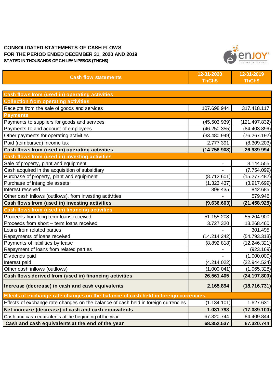#### **CONSOLIDATED STATEMENTS OF CASH FLOWS FOR THE PERIOD ENDED DECEMBER 31, 2020 AND 2019 STATED IN THOUSANDS OF CHILEAN PESOS (THCH\$)**



| <b>Cash flow statements</b>                                                        | 12-31-2020<br>ThCh\$ | 12-31-2019<br>ThCh\$ |
|------------------------------------------------------------------------------------|----------------------|----------------------|
| Cash flows from (used in) operating activities                                     |                      |                      |
| <b>Collection from operating activities</b>                                        |                      |                      |
| Receipts from the sale of goods and services                                       | 107.698.944          | 317.418.117          |
| <b>Payments</b>                                                                    |                      |                      |
| Payments to suppliers for goods and services                                       | (45.503.939)         | (121.497.832)        |
| Payments to and account of employees                                               | (46.250.355)         | (84.403.896)         |
| Other payments for operating activities                                            | (33.480.949)         | (76.267.192)         |
| Paid (reimbursed) income tax                                                       | 2.777.391            | (8.309.203)          |
| Cash flows from (used in) operating activities                                     | (14.758.908)         | 26.939.994           |
| Cash flows from (used in) investing activities                                     |                      |                      |
| Sale of property, plant and equipment                                              |                      | 3.144.555            |
| Cash acquired in the acquisition of subsidiary                                     |                      | (7.754.099)          |
| Purchase of property, plant and equipment                                          | (8.712.601)          | (15.277.482)         |
| Purchase of Intangible assets                                                      | (1.323.437)          | (3.917.699)          |
| Interest received                                                                  | 399.435              | 842.685              |
| Other cash inflows (outflows), from investing activities                           |                      | 579.946              |
| Cash flows from (used in) investing activities                                     | (9.636.603)          | (21.458.925)         |
| Cash flows from (used in) financing activities                                     |                      |                      |
| Proceeds from long-term loans received                                             | 51.155.208           | 55.204.900           |
| Proceeds from short - term loans received                                          | 3.727.320            | 13.268.460           |
| Loans from related parties                                                         |                      | 301.495              |
| Repayments of loans received                                                       | (14.214.242)         | (54.793.313)         |
| Payments of liabilities by lease                                                   | (8.892.818)          | (12.246.321)         |
| Repayment of loans from related parties                                            |                      | (923.169)            |
| Dividends paid                                                                     |                      | (1.000.000)          |
| Interest paid                                                                      | (4.214.022)          | (22.944.524)         |
| Other cash inflows (outflows)                                                      | (1.000.041)          | (1.065.328)          |
| Cash flows derived from (used in) financing activities                             | 26.561.405           | (24.197.800)         |
| Increase (decrease) in cash and cash equivalents                                   | 2.165.894            | (18.716.731)         |
| Effects of exchange rate changes on the balance of cash held in foreign currencies |                      |                      |
| Effects of exchange rate changes on the balance of cash held in foreign currencies | (1.134.101)          | 1.627.631            |
| Net increase (decrease) of cash and cash equivalents                               | 1.031.793            | (17.089.100)         |
| Cash and cash equivalents at the beginning of the year                             | 67.320.744           | 84.409.844           |
| Cash and cash equivalents at the end of the year                                   | 68.352.537           | 67.320.744           |